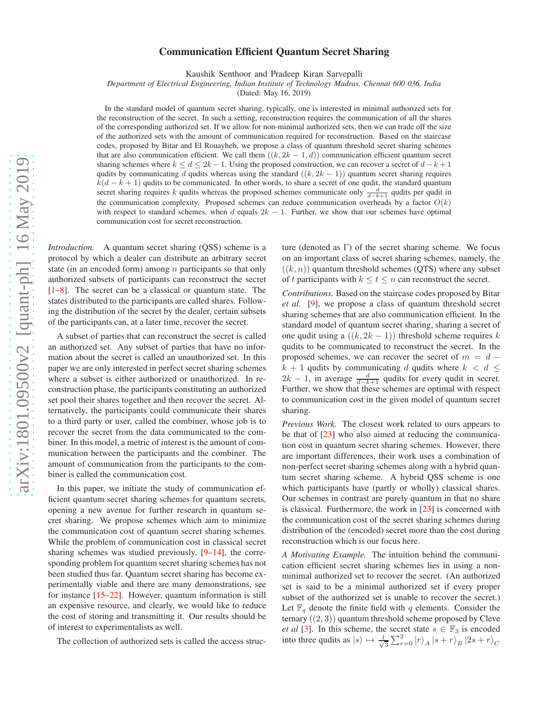## Communication Efficient Quantum Secret Sharing

Kaushik Senthoor and Pradeep Kiran Sarvepalli

*Department of Electrical Engineering, Indian Institute of Technology Madras, Chennai 600 036, India*

(Dated: May 16, 2019)

In the standard model of quantum secret sharing, typically, one is interested in minimal authorized sets for the reconstruction of the secret. In such a setting, reconstruction requires the communication of all the shares of the corresponding authorized set. If we allow for non-minimal authorized sets, then we can trade off the size of the authorized sets with the amount of communication required for reconstruction. Based on the staircase codes, proposed by Bitar and El Rouayheb, we propose a class of quantum threshold secret sharing schemes that are also communication efficient. We call them  $((k, 2k - 1, d))$  communication efficient quantum secret sharing schemes where  $k \le d \le 2k - 1$ . Using the proposed construction, we can recover a secret of  $d - k + 1$ qudits by communicating d qudits whereas using the standard  $((k, 2k - 1))$  quantum secret sharing requires  $k(d - k + 1)$  qudits to be communicated. In other words, to share a secret of one qudit, the standard quantum secret sharing requires k qudits whereas the proposed schemes communicate only  $\frac{d}{d-k+1}$  qudits per qudit in the communication complexity. Proposed schemes can reduce communication overheads by a factor  $O(k)$ with respect to standard schemes, when d equals  $2k - 1$ . Further, we show that our schemes have optimal communication cost for secret reconstruction.

*Introduction.* A quantum secret sharing (QSS) scheme is a protocol by which a dealer can distribute an arbitrary secret state (in an encoded form) among  $n$  participants so that only authorized subsets of participants can reconstruct the secret [\[1](#page-5-0)[–8](#page-5-1)]. The secret can be a classical or quantum state. The states distributed to the participants are called shares. Following the distribution of the secret by the dealer, certain subsets of the participants can, at a later time, recover the secret.

A subset of parties that can reconstruct the secret is called an authorized set. Any subset of parties that have no information about the secret is called an unauthorized set. In this paper we are only interested in perfect secret sharing schemes where a subset is either authorized or unauthorized. In reconstruction phase, the participants constituting an authorized set pool their shares together and then recover the secret. Alternatively, the participants could communicate their shares to a third party or user, called the combiner, whose job is to recover the secret from the data communicated to the combiner. In this model, a metric of interest is the amount of communication between the participants and the combiner. The amount of communication from the participants to the combiner is called the communication cost.

In this paper, we initiate the study of communication efficient quantum secret sharing schemes for quantum secrets, opening a new avenue for further research in quantum secret sharing. We propose schemes which aim to minimize the communication cost of quantum secret sharing schemes. While the problem of communication cost in classical secret sharing schemes was studied previously, [\[9](#page-5-2)[–14\]](#page-5-3), the corresponding problem for quantum secret sharing schemes has not been studied thus far. Quantum secret sharing has become experimentally viable and there are many demonstrations, see for instance [\[15](#page-5-4)[–22](#page-5-5)]. However, quantum information is still an expensive resource, and clearly, we would like to reduce the cost of storing and transmitting it. Our results should be of interest to experimentalists as well.

The collection of authorized sets is called the access struc-

ture (denoted as  $\Gamma$ ) of the secret sharing scheme. We focus on an important class of secret sharing schemes, namely, the  $((k, n))$  quantum threshold schemes (QTS) where any subset of t participants with  $k \le t \le n$  can reconstruct the secret.

*Contributions.* Based on the staircase codes proposed by Bitar *et al.* [\[9](#page-5-2)], we propose a class of quantum threshold secret sharing schemes that are also communication efficient. In the standard model of quantum secret sharing, sharing a secret of one qudit using a  $((k, 2k - 1))$  threshold scheme requires k qudits to be communicated to reconstruct the secret. In the proposed schemes, we can recover the secret of  $m = d$  $k + 1$  qudits by communicating d qudits where  $k < d \leq$  $2k - 1$ , in average  $\frac{d}{d-k+1}$  qudits for every qudit in secret. Further, we show that these schemes are optimal with respect to communication cost in the given model of quantum secret sharing.

*Previous Work.* The closest work related to ours appears to be that of [\[23](#page-5-6)] who also aimed at reducing the communication cost in quantum secret sharing schemes. However, there are important differences, their work uses a combination of non-perfect secret sharing schemes along with a hybrid quantum secret sharing scheme. A hybrid QSS scheme is one which participants have (partly or wholly) classical shares. Our schemes in contrast are purely quantum in that no share is classical. Furthermore, the work in [\[23\]](#page-5-6) is concerned with the communication cost of the secret sharing schemes during distribution of the (encoded) secret more than the cost during reconstruction which is our focus here.

*A Motivating Example.* The intuition behind the communication efficient secret sharing schemes lies in using a nonminimal authorized set to recover the secret. (An authorized set is said to be a minimal authorized set if every proper subset of the authorized set is unable to recover the secret.) Let  $\mathbb{F}_q$  denote the finite field with q elements. Consider the ternary  $((2, 3))$  quantum threshold scheme proposed by Cleve *et al* [\[3\]](#page-5-7). In this scheme, the secret state  $s \in \mathbb{F}_3$  is encoded into three qudits as  $|s\rangle \mapsto \frac{1}{\sqrt{2}}$  $\frac{1}{3}\sum_{r=0}^2\ket{r}_A\ket{s+r}_B\ket{2s+r}_C$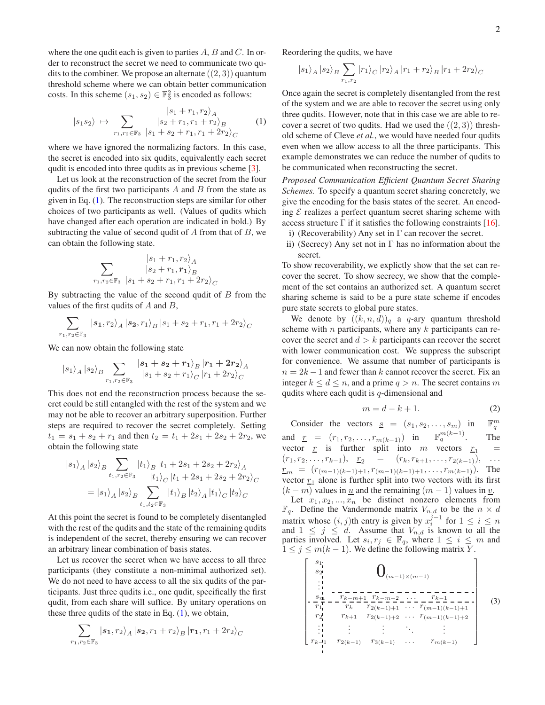where the one qudit each is given to parties  $A, B$  and  $C$ . In order to reconstruct the secret we need to communicate two qudits to the combiner. We propose an alternate  $((2, 3))$  quantum threshold scheme where we can obtain better communication costs. In this scheme  $(s_1, s_2) \in \mathbb{F}_3^2$  is encoded as follows:

<span id="page-1-0"></span>
$$
|s_1 s_2\rangle \mapsto \sum_{r_1, r_2 \in \mathbb{F}_3} \frac{|s_1 + r_1, r_2\rangle_A}{|s_2 + r_1, r_1 + r_2\rangle_B}
$$
 (1)

where we have ignored the normalizing factors. In this case, the secret is encoded into six qudits, equivalently each secret qudit is encoded into three qudits as in previous scheme [\[3](#page-5-7)].

Let us look at the reconstruction of the secret from the four qudits of the first two participants  $A$  and  $B$  from the state as given in Eq. [\(1\)](#page-1-0). The reconstruction steps are similar for other choices of two participants as well. (Values of qudits which have changed after each operation are indicated in bold.) By subtracting the value of second qudit of  $A$  from that of  $B$ , we can obtain the following state.

$$
\sum_{r_1,r_2 \in \mathbb{F}_3} \frac{|s_1 + r_1, r_2\rangle_A}{|s_2 + r_1, r_1\rangle_B}
$$

By subtracting the value of the second qudit of  $B$  from the values of the first qudits of  $A$  and  $B$ ,

$$
\sum_{r_1,r_2 \in \mathbb{F}_3} |s_1,r_2\rangle_A |s_2,r_1\rangle_B |s_1+s_2+r_1,r_1+2r_2\rangle_C
$$

We can now obtain the following state

$$
|s_1\rangle_A\, |s_2\rangle_B \sum_{r_1,r_2 \in \mathbb{F}_3} \frac{|s_1 + s_2 + r_1\rangle_B\, |r_1 + 2r_2\rangle_A}{|s_1 + s_2 + r_1\rangle_C\, |r_1 + 2r_2\rangle_C}
$$

This does not end the reconstruction process because the secret could be still entangled with the rest of the system and we may not be able to recover an arbitrary superposition. Further steps are required to recover the secret completely. Setting  $t_1 = s_1 + s_2 + r_1$  and then  $t_2 = t_1 + 2s_1 + 2s_2 + 2r_2$ , we obtain the following state

$$
|s_{1}\rangle_{A} |s_{2}\rangle_{B} \sum_{t_{1}, t_{2} \in \mathbb{F}_{3}} |t_{1}\rangle_{B} |t_{1} + 2s_{1} + 2s_{2} + 2r_{2}\rangle_{A}
$$
  

$$
= |s_{1}\rangle_{A} |s_{2}\rangle_{B} \sum_{t_{1}, t_{2} \in \mathbb{F}_{3}} |t_{1}\rangle_{B} |t_{2}\rangle_{A} |t_{1}\rangle_{C} |t_{2}\rangle_{C}
$$

At this point the secret is found to be completely disentangled with the rest of the qudits and the state of the remaining qudits is independent of the secret, thereby ensuring we can recover an arbitrary linear combination of basis states.

Let us recover the secret when we have access to all three participants (they constitute a non-minimal authorized set). We do not need to have access to all the six qudits of the participants. Just three qudits i.e., one qudit, specifically the first qudit, from each share will suffice. By unitary operations on these three qudits of the state in Eq.  $(1)$ , we obtain,

$$
\sum_{r_1,r_2 \in \mathbb{F}_3} |s_1,r_2\rangle_A |s_2,r_1+r_2\rangle_B |r_1,r_1+2r_2\rangle_C
$$

Reordering the qudits, we have

$$
\left|s_{1}\right\rangle_{A}\left|s_{2}\right\rangle_{B}\sum_{r_{1},r_{2}}\left|r_{1}\right\rangle_{C}\left|r_{2}\right\rangle_{A}\left|r_{1}+r_{2}\right\rangle_{B}\left|r_{1}+2r_{2}\right\rangle_{C}
$$

Once again the secret is completely disentangled from the rest of the system and we are able to recover the secret using only three qudits. However, note that in this case we are able to recover a secret of two qudits. Had we used the  $((2, 3))$  threshold scheme of Cleve *et al.*, we would have needed four qudits even when we allow access to all the three participants. This example demonstrates we can reduce the number of qudits to be communicated when reconstructing the secret.

*Proposed Communication Efficient Quantum Secret Sharing Schemes.* To specify a quantum secret sharing concretely, we give the encoding for the basis states of the secret. An encoding  $\mathcal E$  realizes a perfect quantum secret sharing scheme with access structure  $\Gamma$  if it satisfies the following constraints [\[16](#page-5-8)]. i) (Recoverability) Any set in  $\Gamma$  can recover the secret.

ii) (Secrecy) Any set not in  $\Gamma$  has no information about the

secret. To show recoverability, we explictly show that the set can recover the secret. To show secrecy, we show that the complement of the set contains an authorized set. A quantum secret sharing scheme is said to be a pure state scheme if encodes pure state secrets to global pure states.

We denote by  $((k, n, d))_q$  a q-ary quantum threshold scheme with  $n$  participants, where any  $k$  participants can recover the secret and  $d > k$  participants can recover the secret with lower communication cost. We suppress the subscript for convenience. We assume that number of participants is  $n = 2k - 1$  and fewer than k cannot recover the secret. Fix an integer  $k \leq d \leq n$ , and a prime  $q > n$ . The secret contains m qudits where each qudit is  $q$ -dimensional and

<span id="page-1-2"></span>
$$
m = d - k + 1. \tag{2}
$$

Consider the vectors  $s = (s_1, s_2, \dots, s_m)$  in m q and  $\underline{r} = (r_1, r_2, \dots, r_{m(k-1)})$  in  $\mathbb{F}_q^{m(k-1)}$ . The vector <u>r</u> is further split into m vectors  $r_1$  =  $(r_1, r_2, \ldots, r_{k-1}), \quad \underline{r_2} = (r_k, r_{k+1}, \ldots, r_{2(k-1)}), \quad \ldots$  $r_m = (r_{(m-1)(k-1)+1}, r_{(m-1)(k-1)+1}, \ldots, r_{m(k-1)}).$  The vector  $r_1$  alone is further split into two vectors with its first  $(k - m)$  values in u and the remaining  $(m - 1)$  values in v.

Let  $x_1, x_2, ..., x_n$  be distinct nonzero elements from  $\mathbb{F}_q$ . Define the Vandermonde matrix  $V_{n,d}$  to be the  $n \times d$ matrix whose  $(i, j)$ th entry is given by  $x_i^{j-1}$  for  $1 \le i \le n$ and  $1 \leq j \leq d$ . Assume that  $V_{n,d}$  is known to all the parties involved. Let  $s_i, r_j \in \mathbb{F}_q$ , where  $1 \leq i \leq m$  and  $1 \leq j \leq m(k-1)$ . We define the following matrix Y.

<span id="page-1-1"></span>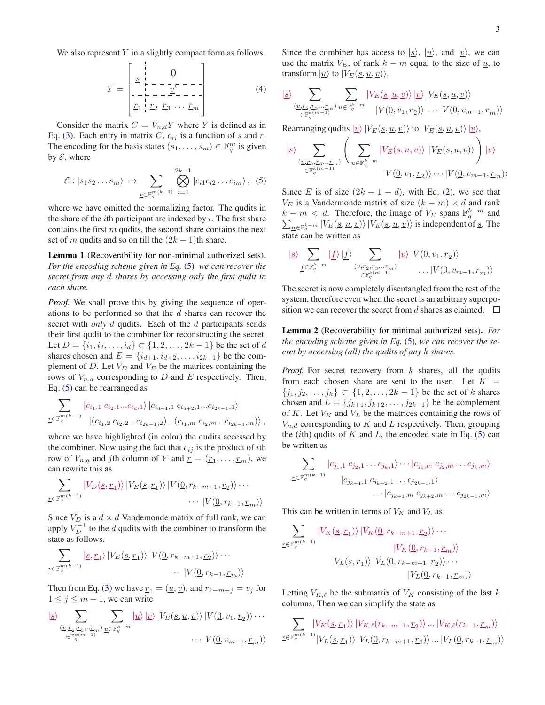We also represent  $Y$  in a slightly compact form as follows.

$$
Y = \begin{bmatrix} 0 & 0 \\ \frac{s}{r} & -\frac{s}{r} & -\frac{s}{r} \\ -\frac{s}{r} & -\frac{s}{r} & -\frac{s}{r} \\ \frac{r_1}{r_1} & \frac{r_2}{r_2} & \frac{r_3}{r_3} & \cdots & \frac{r_m}{r} \end{bmatrix}
$$
(4)

Consider the matrix  $C = V_{n,d}Y$  where Y is defined as in Eq. [\(3\)](#page-1-1). Each entry in matrix C,  $c_{ij}$  is a function of  $\underline{s}$  and  $\underline{r}$ . The encoding for the basis states  $(s_1, \ldots, s_m) \in \mathbb{F}_q^m$  is given by  $\mathcal{E}$ , where

<span id="page-2-0"></span>
$$
\mathcal{E}: |s_1 s_2 \dots s_m\rangle \mapsto \sum_{\underline{r} \in \mathbb{F}_q^{m(k-1)}} \bigotimes_{i=1}^{2k-1} |c_{i1} c_{i2} \dots c_{im}\rangle, \quad (5)
$$

where we have omitted the normalizing factor. The qudits in the share of the *i*th participant are indexed by  $i$ . The first share contains the first  $m$  qudits, the second share contains the next set of m qudits and so on till the  $(2k - 1)$ th share.

Lemma 1 (Recoverability for non-minimal authorized sets). *For the encoding scheme given in Eq.* [\(5\)](#page-2-0)*, we can recover the secret from any* d *shares by accessing only the first qudit in each share.*

*Proof.* We shall prove this by giving the sequence of operations to be performed so that the  $d$  shares can recover the secret with *only* d qudits. Each of the d participants sends their first qudit to the combiner for reconstructing the secret. Let  $D = \{i_1, i_2, \dots, i_d\} \subset \{1, 2, \dots, 2k - 1\}$  be the set of d shares chosen and  $E = \{i_{d+1}, i_{d+2}, \ldots, i_{2k-1}\}$  be the complement of  $D$ . Let  $V_D$  and  $V_E$  be the matrices containing the rows of  $V_{n,d}$  corresponding to D and E respectively. Then, Eq. [\(5\)](#page-2-0) can be rearranged as

$$
\sum_{\underline{r} \in \mathbb{F}_q^{m(k-1)}} \left| c_{i_1,1} c_{i_2,1} ... c_{i_d,1} \right\rangle \left| c_{i_{d+1},1} c_{i_{d+2},1} ... c_{i_{2k-1},1} \right\rangle
$$
  

$$
\left| (c_{i_1,2} c_{i_2,2} ... c_{i_{2k-1},2}) ... (c_{i_1,m} c_{i_2,m} ... c_{i_{2k-1},m}) \right\rangle,
$$

where we have highlighted (in color) the qudits accessed by the combiner. Now using the fact that  $c_{ij}$  is the product of *i*th row of  $V_{n,q}$  and *j*th column of Y and  $\underline{r} = (\underline{r}_1, \dots, \underline{r}_m)$ , we can rewrite this as

$$
\sum_{\underline{r}\in\mathbb{F}_q^{m(k-1)}} |V_D(\underline{s},\underline{r}_1)\rangle |V_E(\underline{s},\underline{r}_1)\rangle |V(\underline{0},r_{k-m+1},\underline{r}_2)\rangle \cdots
$$

$$
\cdots |V(\underline{0},r_{k-1},\underline{r}_m)\rangle
$$

Since  $V_D$  is a  $d \times d$  Vandemonde matrix of full rank, we can apply  $V_D^{-1}$  to the d qudits with the combiner to transform the state as follows.

$$
\sum_{\underline{r}\in\mathbb{F}_q^{m(k-1)}}\left|g,\underline{r}_1\right\rangle\left|V_E(g,\underline{r}_1)\right\rangle\left|V(\underline{0},r_{k-m+1},\underline{r}_2)\right\rangle\cdots
$$

$$
\cdots\left|V(\underline{0},r_{k-1},\underline{r}_m)\right\rangle
$$

Then from Eq. [\(3\)](#page-1-1) we have  $\underline{r}_1 = (\underline{u}, \underline{v})$ , and  $r_{k-m+j} = v_j$  for  $1 \leq j \leq m-1$ , we can write

$$
|S\rangle \sum_{\substack{(\underline{v},\underline{r}_2,\underline{r}_3,\dots,\underline{r}_m) \\ \in \mathbb{F}_q^{k(m-1)}}} \sum_{\underline{u} \in \mathbb{F}_q^{k-m}} |\underline{u}\rangle |\underline{v}\rangle |V_E(\underline{s},\underline{u},\underline{v})\rangle |V(\underline{0},v_1,\underline{r}_2)\rangle \cdots
$$

$$
\cdots |V(\underline{0},v_{m-1},\underline{r}_m)\rangle
$$

Since the combiner has access to  $|s\rangle$ ,  $|u\rangle$ , and  $|v\rangle$ , we can use the matrix  $V_E$ , of rank  $k - m$  equal to the size of  $\underline{u}$ , to transform  $|\underline{u}\rangle$  to  $|V_E(\underline{s}, \underline{u}, \underline{v})\rangle$ .

$$
\frac{\langle \underline{s} \rangle}{\sum_{\substack{(\underline{v}, \underline{r}_2, \underline{r}_3, \dots, \underline{r}_m) \\ \in \mathbb{F}_q^{k(m-1)}}} \sum_{\underline{u} \in \mathbb{F}_q^{k-m}} |V_E(\underline{s}, \underline{u}, \underline{v}) \rangle | \underline{v} \rangle |V_E(\underline{s}, \underline{u}, \underline{v}) \rangle
$$
  

$$
|V(\underline{0}, v_1, \underline{r}_2) \rangle \cdots |V(\underline{0}, v_{m-1}, \underline{r}_m) \rangle
$$

Rearranging qudits  $|v\rangle|V_E(\underline{s}, \underline{u}, \underline{v})\rangle$  to  $|V_E(\underline{s}, \underline{u}, \underline{v})\rangle|\underline{v}\rangle$ ,

$$
\frac{\left| \underline{s} \right\rangle}{\sum_{\substack{(\underline{v}, \underline{r}_2, \underline{r}_3, \dots, \underline{r}_m) \\ \in \mathbb{F}_q^{k(m-1)}}} \left( \sum_{\underline{u} \in \mathbb{F}_q^{k-m}} \left| V_E(\underline{s}, \underline{u}, \underline{v}) \right\rangle \left| V_E(\underline{s}, \underline{u}, \underline{v}) \right\rangle} \right) \left| \underline{v} \right\rangle} \left| \underline{v} \right\rangle}
$$

Since E is of size  $(2k - 1 - d)$ , with Eq. [\(2\)](#page-1-2), we see that  $V_E$  is a Vandermonde matrix of size  $(k - m) \times d$  and rank  $k - m < d$ . Therefore, the image of  $V_E$  spans  $\mathbb{F}_q^{k-m}$  and  $\sum_{\underline{u}\in\mathbb{F}_q^{k-m}}|V_E(\underline{s},\underline{u},\underline{v})\rangle|V_E(\underline{s},\underline{u},\underline{v})\rangle$  is independent of <u>s</u>. The state can be written as

$$
\frac{\langle s \rangle}{\underline{f} \in \mathbb{F}_q^{k-m}} \frac{\langle f \rangle}{\underline{f}} \frac{\langle f \rangle}{\underline{f}} \sum_{\substack{(v, r_2, r_3, \dots, r_m) \\ \in \mathbb{F}_q^{k(m-1)}}} \frac{\langle v \rangle}{\langle v \rangle} \frac{\langle v(v_0, v_1, r_2) \rangle}{\langle v_0, v_1, \dots, v_m \rangle}
$$

The secret is now completely disentangled from the rest of the system, therefore even when the secret is an arbitrary superposition we can recover the secret from d shares as claimed.  $\square$ 

<span id="page-2-1"></span>Lemma 2 (Recoverability for minimal authorized sets). *For the encoding scheme given in Eq.* [\(5\)](#page-2-0)*, we can recover the secret by accessing (all) the qudits of any* k *shares.*

*Proof.* For secret recovery from k shares, all the qudits from each chosen share are sent to the user. Let  $K =$  $\{j_1, j_2, \ldots, j_k\} \subset \{1, 2, \ldots, 2k-1\}$  be the set of k shares chosen and  $L = \{j_{k+1}, j_{k+2}, \ldots, j_{2k-1}\}\$  be the complement of K. Let  $V_K$  and  $V_L$  be the matrices containing the rows of  $V_{n,d}$  corresponding to K and L respectively. Then, grouping the (*i*th) qudits of K and L, the encoded state in Eq.  $(5)$  can be written as

$$
\sum_{\substack{r \in \mathbb{F}_q^{m(k-1)} \\ |\langle c_{j_{k+1},1} \rangle \langle c_{j_{k+2},1} \rangle \cdots \langle c_{j_{k},m} \rangle}} |c_{j_{k+1},1} \, c_{j_{k+2},1} \cdots c_{j_{2k-1},1} \rangle
$$

$$
\cdots \langle c_{j_{k+1},m} \, c_{j_{k+2},m} \cdots c_{j_{2k-1},m} \rangle
$$

This can be written in terms of  $V_K$  and  $V_L$  as

$$
\sum_{\underline{r} \in \mathbb{F}_q^{m(k-1)}} |V_K(\underline{s}, \underline{r}_1) \rangle |V_K(\underline{0}, r_{k-m+1}, \underline{r}_2) \rangle \cdots
$$

$$
|V_K(\underline{0}, r_{k-1}, \underline{r}_m) \rangle
$$

$$
|V_L(\underline{s}, \underline{r}_1) \rangle |V_L(\underline{0}, r_{k-m+1}, \underline{r}_2) \rangle \cdots
$$

$$
|V_L(\underline{0}, r_{k-1}, \underline{r}_m) \rangle
$$

Letting  $V_{K,\ell}$  be the submatrix of  $V_K$  consisting of the last k columns. Then we can simplify the state as

$$
\sum_{\underline{r}\in\mathbb{F}_q^{m(k-1)}}\!\!\!|V_K(\underline{s},\underline{r}_1)\rangle\,|V_{K,\ell}(r_{k-m+1},\underline{r}_2)\rangle\dots\,|V_{K,\ell}(r_{k-1},\underline{r}_m)\rangle}{|V_L(\underline{s},\underline{r}_1)\rangle\,|V_L(\underline{0},r_{k-m+1},\underline{r}_2)\rangle\dots\,|V_L(\underline{0},r_{k-1},\underline{r}_m)\rangle}
$$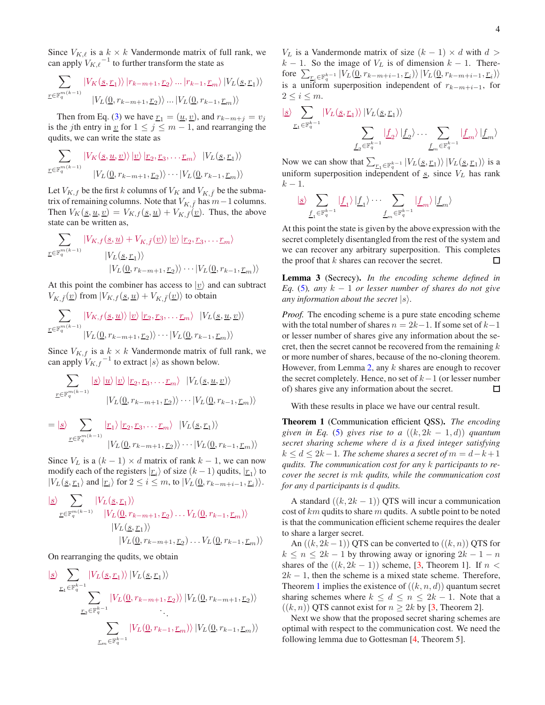Since  $V_{K,\ell}$  is a  $k \times k$  Vandermonde matrix of full rank, we can apply  $V_{K,\ell}$ <sup>-1</sup> to further transform the state as

$$
\sum_{\underline{r} \in \mathbb{F}_q^{m(k-1)}} |V_K(\underline{s}, \underline{r}_1) \rangle | r_{k-m+1}, \underline{r}_2 \rangle \dots | r_{k-1}, \underline{r}_m \rangle | V_L(\underline{s}, \underline{r}_1) \rangle
$$
  

$$
|V_L(\underline{0}, r_{k-m+1}, \underline{r}_2) \rangle \dots | V_L(\underline{0}, r_{k-1}, \underline{r}_m) \rangle
$$

Then from Eq. [\(3\)](#page-1-1) we have  $\underline{r}_1 = (\underline{u}, \underline{v})$ , and  $r_{k-m+j} = v_j$ is the *j*th entry in <u>v</u> for  $1 \le j \le m - 1$ , and rearranging the qudits, we can write the state as

$$
\sum_{\underline{r}\in\mathbb{F}_q^{m(k-1)}} |V_K(\underline{s}, \underline{u}, \underline{v})\rangle |\underline{v}\rangle |_{\underline{r}_2, \underline{r}_3, \dots, \underline{r}_m} \rangle |V_L(\underline{s}, \underline{r}_1)\rangle
$$
  

$$
|V_L(\underline{0}, r_{k-m+1}, \underline{r}_2)\rangle \cdots |V_L(\underline{0}, r_{k-1}, \underline{r}_m)\rangle
$$

Let  $V_{K,f}$  be the first k columns of  $V_K$  and  $V_{K,\bar{f}}$  be the submatrix of remaining columns. Note that  $V_{K,\bar{f}}$  has  $m-1$  columns. Then  $V_K(\underline{s}, \underline{u}, \underline{v}) = V_{K,f}(\underline{s}, \underline{u}) + V_{K,\overline{f}}(\underline{v})$ . Thus, the above state can be written as,

$$
\sum_{\underline{r} \in \mathbb{F}_q^{m(k-1)}} |V_{K,f}(\underline{s}, \underline{u}) + V_{K,\bar{f}}(\underline{v})\rangle | \underline{v}\rangle | \underline{r}_2, \underline{r}_3, \dots, \underline{r}_m \rangle
$$
  
\n
$$
|V_L(\underline{s}, \underline{r}_1)\rangle
$$
  
\n
$$
|V_L(\underline{0}, r_{k-m+1}, \underline{r}_2)\rangle \cdots | V_L(\underline{0}, r_{k-1}, \underline{r}_m)\rangle
$$

At this point the combiner has access to  $|v\rangle$  and can subtract  $V_{K,\bar{f}}(\underline{v})$  from  $|V_{K,f}(\underline{s},\underline{u}) + V_{K,\bar{f}}(\underline{v})\rangle$  to obtain

$$
\sum_{\underline{r}\in\mathbb{F}_q^{m(k-1)}}\frac{|V_{K,f}(\underline{s},\underline{u})\rangle|\underline{v}\rangle|\underline{r}_2,\underline{r}_3,\ldots,\underline{r}_m\rangle|V_L(\underline{s},\underline{u},\underline{v})\rangle}{|V_L(\underline{0},r_{k-m+1},\underline{r}_2)\rangle\cdots|V_L(\underline{0},r_{k-1},\underline{r}_m)\rangle}
$$

Since  $V_{K,f}$  is a  $k \times k$  Vandermonde matrix of full rank, we can apply  $V_{K,f}^{-1}$  to extract  $|s\rangle$  as shown below.

$$
\sum_{\underline{r}\in\mathbb{F}_q^{m(k-1)}}\frac{|g\rangle|u\rangle|v\rangle|r_2,r_3,\ldots r_m\rangle|V_L(\underline{s},\underline{u},\underline{v})\rangle}{|V_L(\underline{0},r_{k-m+1},\underline{r}_2)\rangle\cdots|V_L(\underline{0},r_{k-1},\underline{r}_m)\rangle}
$$

$$
= | \underline{s} \rangle \sum_{\underline{r} \in \mathbb{F}_q^{m(k-1)}} \left| \underline{r}_1 \right\rangle \left| \underline{r}_2, \underline{r}_3, \dots, \underline{r}_m \right\rangle \left| V_L(\underline{s}, \underline{r}_1) \right\rangle \n| V_L(\underline{0}, r_{k-m+1}, \underline{r}_2) \rangle \cdots | V_L(\underline{0}, r_{k-1}, \underline{r}_m) \rangle
$$

Since  $V_L$  is a  $(k - 1) \times d$  matrix of rank  $k - 1$ , we can now modify each of the registers  $\ket{r_i}$  of size  $(k-1)$  qudits,  $\ket{r_1}$  to  $|V_L(\underline{s}, \underline{r}_1)$  and  $|\underline{r}_i\rangle$  for  $2 \le i \le m$ , to  $|V_L(\underline{0}, r_{k-m+i-1}, \underline{r}_i)\rangle$ .

$$
\frac{|s\rangle}{\sum_{\underline{r}\in\mathbb{F}_q^{m(k-1)}}|V_L(\underline{s},\underline{r}_1)\rangle} |V_L(\underline{0},r_{k-m+1},\underline{r}_2)\dots V_L(\underline{0},r_{k-1},\underline{r}_m)\rangle
$$
  

$$
|V_L(\underline{s},\underline{r}_1)\rangle |V_L(\underline{0},r_{k-m+1},\underline{r}_2)\dots V_L(\underline{0},r_{k-1},\underline{r}_m)\rangle
$$

On rearranging the qudits, we obtain

$$
\frac{\sum\limits_{\underline{r}_1 \in \mathbb{F}_q^{k-1}} |V_L(\underline{s}, \underline{r}_1) \rangle |V_L(\underline{s}, \underline{r}_1) \rangle}{\sum\limits_{\underline{r}_2 \in \mathbb{F}_q^{k-1}} |V_L(\underline{0}, r_{k-m+1}, \underline{r}_2) \rangle |V_L(\underline{0}, r_{k-m+1}, \underline{r}_2) \rangle}
$$

$$
\frac{\sum\limits_{\underline{r}_m \in \mathbb{F}_q^{k-1}} |V_L(\underline{0}, r_{k-1}, \underline{r}_m) \rangle |V_L(\underline{0}, r_{k-1}, \underline{r}_m) \rangle}{\sum\limits_{\underline{r}_m \in \mathbb{F}_q^{k-1}} |V_L(\underline{0}, r_{k-1}, \underline{r}_m) \rangle |V_L(\underline{0}, r_{k-1}, \underline{r}_m) \rangle}
$$

 $V_L$  is a Vandermonde matrix of size  $(k - 1) \times d$  with  $d >$  $k - 1$ . So the image of  $V_L$  is of dimension  $k - 1$ . Therefore  $\sum_{\underline{r}_i \in \mathbb{F}_q^{k-1}} |V_L(\underline{0}, r_{k-m+i-1}, \underline{r}_i) \rangle |V_L(\underline{0}, r_{k-m+i-1}, \underline{r}_i) \rangle$ is a uniform superposition independent of  $r_{k-m+i-1}$ , for  $2 \leq i \leq m$ .

$$
\frac{\sum\limits_{\underline{r}_1 \in \mathbb{F}_q^{k-1}} |V_L(\underline{s}, \underline{r}_1) \rangle |V_L(\underline{s}, \underline{r}_1) \rangle}{\sum\limits_{\underline{f}_2 \in \mathbb{F}_q^{k-1}} |\underline{f}_2 \rangle |\underline{f}_2 \rangle \dots \sum\limits_{\underline{f}_m \in \mathbb{F}_q^{k-1}} |\underline{f}_m \rangle |\underline{f}_m \rangle}
$$

Now we can show that  $\sum_{r_1 \in \mathbb{F}_q^{k-1}} |V_L(\underline{s}, r_1)\rangle |V_L(\underline{s}, r_1)\rangle$  is a uniform superposition independent of  $s$ , since  $V<sub>L</sub>$  has rank  $k-1$ .

$$
\mid \hspace{-3pt}\underline{s}\hspace{0.5pt}\rangle \sum_{\underline{f_1}\in \mathbb{F}_q^{k-1}} \mid \hspace{-3pt}\underline{f_1}\rangle \mid \hspace{-3pt}\underline{f_1}\hspace{0.5pt}\rangle \cdot\cdot\cdot \sum_{\underline{f_m}\in \mathbb{F}_q^{k-1}} \mid \hspace{-3pt}\underline{f_m}\rangle \mid \hspace{-3pt}\underline{f_m}\rangle
$$

At this point the state is given by the above expression with the secret completely disentangled from the rest of the system and we can recover any arbitrary superposition. This completes the proof that  $k$  shares can recover the secret.  $\Box$ 

Lemma 3 (Secrecy). *In the encoding scheme defined in Eq.* [\(5\)](#page-2-0)*, any* k − 1 *or lesser number of shares do not give any information about the secret*  $|s\rangle$ *.* 

*Proof.* The encoding scheme is a pure state encoding scheme with the total number of shares  $n = 2k-1$ . If some set of  $k-1$ or lesser number of shares give any information about the secret, then the secret cannot be recovered from the remaining  $k$ or more number of shares, because of the no-cloning theorem. However, from Lemma [2,](#page-2-1) any  $k$  shares are enough to recover the secret completely. Hence, no set of  $k-1$  (or lesser number of) shares give any information about the secret.  $\Box$ 

With these results in place we have our central result.

<span id="page-3-0"></span>Theorem 1 (Communication efficient QSS). *The encoding given in Eq.* [\(5\)](#page-2-0) *gives rise to a*  $((k, 2k - 1, d))$  *quantum secret sharing scheme where* d *is a fixed integer satisfying*  $k \leq d \leq 2k-1$ . The scheme shares a secret of  $m = d-k+1$ *qudits. The communication cost for any* k *participants to recover the secret is* mk *qudits, while the communication cost for any* d *participants is* d *qudits.*

A standard  $((k, 2k - 1))$  QTS will incur a communication cost of  $km$  qudits to share m qudits. A subtle point to be noted is that the communication efficient scheme requires the dealer to share a larger secret.

An  $((k, 2k-1))$  QTS can be converted to  $((k, n))$  QTS for  $k \leq n \leq 2k - 1$  by throwing away or ignoring  $2k - 1 - n$ shares of the  $((k, 2k - 1))$  scheme, [\[3,](#page-5-7) Theorem 1]. If  $n <$  $2k - 1$ , then the scheme is a mixed state scheme. Therefore, Theorem [1](#page-3-0) implies the existence of  $((k, n, d))$  quantum secret sharing schemes where  $k \leq d \leq n \leq 2k - 1$ . Note that a  $((k, n))$  QTS cannot exist for  $n \geq 2k$  by [\[3,](#page-5-7) Theorem 2].

Next we show that the proposed secret sharing schemes are optimal with respect to the communication cost. We need the following lemma due to Gottesman [\[4,](#page-5-9) Theorem 5].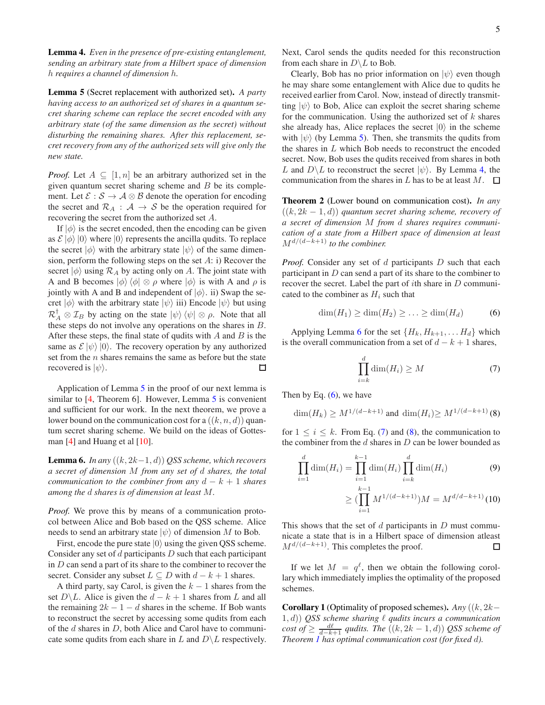<span id="page-4-1"></span>Lemma 4. *Even in the presence of pre-existing entanglement, sending an arbitrary state from a Hilbert space of dimension* h *requires a channel of dimension* h*.*

<span id="page-4-0"></span>Lemma 5 (Secret replacement with authorized set). *A party having access to an authorized set of shares in a quantum secret sharing scheme can replace the secret encoded with any arbitrary state (of the same dimension as the secret) without disturbing the remaining shares. After this replacement, secret recovery from any of the authorized sets will give only the new state.*

*Proof.* Let  $A \subseteq [1, n]$  be an arbitrary authorized set in the given quantum secret sharing scheme and  $B$  be its complement. Let  $\mathcal{E}: \mathcal{S} \to \mathcal{A} \otimes \mathcal{B}$  denote the operation for encoding the secret and  $\mathcal{R}_A$  :  $\mathcal{A} \rightarrow \mathcal{S}$  be the operation required for recovering the secret from the authorized set A.

If  $|\phi\rangle$  is the secret encoded, then the encoding can be given as  $\mathcal{E} |\phi\rangle |0\rangle$  where  $|0\rangle$  represents the ancilla qudits. To replace the secret  $|\phi\rangle$  with the arbitrary state  $|\psi\rangle$  of the same dimension, perform the following steps on the set  $A$ : i) Recover the secret  $|\phi\rangle$  using  $\mathcal{R}_A$  by acting only on A. The joint state with A and B becomes  $|\phi\rangle \langle \phi| \otimes \rho$  where  $|\phi\rangle$  is with A and  $\rho$  is jointly with A and B and independent of  $|\phi\rangle$ . ii) Swap the secret  $|\phi\rangle$  with the arbitrary state  $|\psi\rangle$  iii) Encode  $|\psi\rangle$  but using  $\mathcal{R}_A^{\mathsf{T}} \otimes \mathcal{I}_B$  by acting on the state  $|\psi\rangle \langle \psi| \otimes \rho$ . Note that all these steps do not involve any operations on the shares in B. After these steps, the final state of qudits with  $A$  and  $B$  is the same as  $\mathcal{E} |\psi\rangle |0\rangle$ . The recovery operation by any authorized set from the  $n$  shares remains the same as before but the state recovered is  $|\psi\rangle$ . □

Application of Lemma [5](#page-4-0) in the proof of our next lemma is similar to [\[4,](#page-5-9) Theorem 6]. However, Lemma [5](#page-4-0) is convenient and sufficient for our work. In the next theorem, we prove a lower bound on the communication cost for a  $((k, n, d))$  quantum secret sharing scheme. We build on the ideas of Gottes-man [\[4\]](#page-5-9) and Huang et al [\[10](#page-5-10)].

<span id="page-4-2"></span>**Lemma 6.** *In any*  $((k, 2k-1, d))$  *QSS scheme, which recovers a secret of dimension* M *from any set of* d *shares, the total communication to the combiner from any*  $d - k + 1$  *shares among the* d *shares is of dimension at least* M*.*

*Proof.* We prove this by means of a communication protocol between Alice and Bob based on the QSS scheme. Alice needs to send an arbitrary state  $|\psi\rangle$  of dimension M to Bob.

First, encode the pure state  $|0\rangle$  using the given QSS scheme. Consider any set of  $d$  participants  $D$  such that each participant in  $D$  can send a part of its share to the combiner to recover the secret. Consider any subset  $L \subseteq D$  with  $d - k + 1$  shares.

A third party, say Carol, is given the  $k - 1$  shares from the set  $D\backslash L$ . Alice is given the  $d - k + 1$  shares from L and all the remaining  $2k - 1 - d$  shares in the scheme. If Bob wants to reconstruct the secret by accessing some qudits from each of the d shares in D, both Alice and Carol have to communicate some qudits from each share in L and  $D\backslash L$  respectively. Next, Carol sends the qudits needed for this reconstruction from each share in  $D \backslash L$  to Bob.

Clearly, Bob has no prior information on  $|\psi\rangle$  even though he may share some entanglement with Alice due to qudits he received earlier from Carol. Now, instead of directly transmitting  $|\psi\rangle$  to Bob, Alice can exploit the secret sharing scheme for the communication. Using the authorized set of  $k$  shares she already has, Alice replaces the secret  $|0\rangle$  in the scheme with  $|\psi\rangle$  (by Lemma [5\)](#page-4-0). Then, she transmits the qudits from the shares in L which Bob needs to reconstruct the encoded secret. Now, Bob uses the qudits received from shares in both L and  $D\backslash L$  to reconstruct the secret  $|\psi\rangle$ . By Lemma [4,](#page-4-1) the communication from the shares in L has to be at least  $M$ .  $\square$ 

Theorem 2 (Lower bound on communication cost). *In any* ((k, 2k − 1, d)) *quantum secret sharing scheme, recovery of a secret of dimension* M *from* d *shares requires communication of a state from a Hilbert space of dimension at least* Md/(d−k+1) *to the combiner.*

*Proof.* Consider any set of d participants D such that each participant in D can send a part of its share to the combiner to recover the secret. Label the part of ith share in D communicated to the combiner as  $H_i$  such that

<span id="page-4-3"></span>
$$
\dim(H_1) \ge \dim(H_2) \ge \ldots \ge \dim(H_d) \tag{6}
$$

Applying Lemma [6](#page-4-2) for the set  $\{H_k, H_{k+1}, \ldots, H_d\}$  which is the overall communication from a set of  $d - k + 1$  shares,

<span id="page-4-4"></span>
$$
\prod_{i=k}^{d} \dim(H_i) \ge M \tag{7}
$$

Then by Eq.  $(6)$ , we have

<span id="page-4-5"></span>
$$
\dim(H_k) \ge M^{1/(d-k+1)} \text{ and } \dim(H_i) \ge M^{1/(d-k+1)}(8)
$$

for  $1 \le i \le k$ . From Eq. [\(7\)](#page-4-4) and [\(8\)](#page-4-5), the communication to the combiner from the  $d$  shares in  $D$  can be lower bounded as

$$
\prod_{i=1}^{d} \dim(H_i) = \prod_{i=1}^{k-1} \dim(H_i) \prod_{i=k}^{d} \dim(H_i)
$$
\n(9)

$$
\geq \left(\prod_{i=1}^{k-1} M^{1/(d-k+1)}\right)M = M^{d/d-k+1} (10)
$$

This shows that the set of  $d$  participants in  $D$  must communicate a state that is in a Hilbert space of dimension atleast  $M^{d/(d-k+1)}$ . This completes the proof.  $\Box$ 

If we let  $M = q^{\ell}$ , then we obtain the following corollary which immediately implies the optimality of the proposed schemes.

Corollary 1 (Optimality of proposed schemes). *Any* ((k, 2k− 1, d)) *QSS scheme sharing* ℓ *qudits incurs a communication*  $\cos t$  *of*  $\geq \frac{d\ell}{d-k+1}$  *qudits. The*  $((k, 2k-1, d))$  *QSS scheme of Theorem [1](#page-3-0) has optimal communication cost (for fixed* d*).*